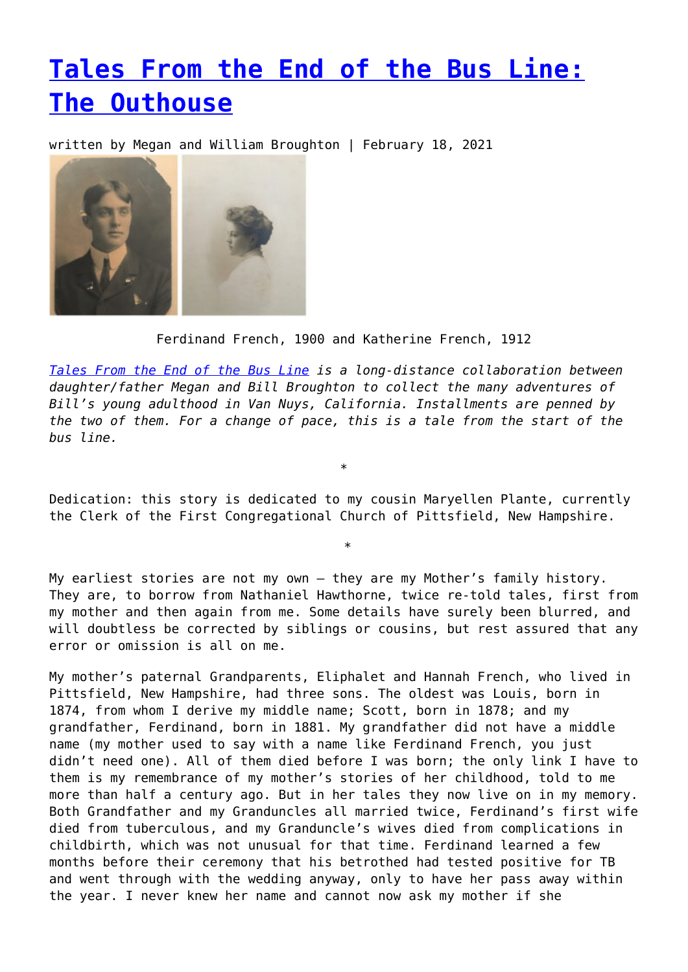## **[Tales From the End of the Bus Line:](https://entropymag.org/tales-from-the-end-of-the-bus-line-the-outhouse/) [The Outhouse](https://entropymag.org/tales-from-the-end-of-the-bus-line-the-outhouse/)**

written by Megan and William Broughton | February 18, 2021



Ferdinand French, 1900 and Katherine French, 1912

*[Tales From the End of the Bus Line](https://entropymag.org/tag/tales-from-the-end-of-the-bus-line/) is a long-distance collaboration between daughter/father Megan and Bill Broughton to collect the many adventures of Bill's young adulthood in Van Nuys, California. Installments are penned by the two of them. For a change of pace, this is a tale from the start of the bus line.*

Dedication: this story is dedicated to my cousin Maryellen Plante, currently the Clerk of the First Congregational Church of Pittsfield, New Hampshire.

\*

\*

My earliest stories are not my own – they are my Mother's family history. They are, to borrow from Nathaniel Hawthorne, twice re-told tales, first from my mother and then again from me. Some details have surely been blurred, and will doubtless be corrected by siblings or cousins, but rest assured that any error or omission is all on me.

My mother's paternal Grandparents, Eliphalet and Hannah French, who lived in Pittsfield, New Hampshire, had three sons. The oldest was Louis, born in 1874, from whom I derive my middle name; Scott, born in 1878; and my grandfather, Ferdinand, born in 1881. My grandfather did not have a middle name (my mother used to say with a name like Ferdinand French, you just didn't need one). All of them died before I was born; the only link I have to them is my remembrance of my mother's stories of her childhood, told to me more than half a century ago. But in her tales they now live on in my memory. Both Grandfather and my Granduncles all married twice, Ferdinand's first wife died from tuberculous, and my Granduncle's wives died from complications in childbirth, which was not unusual for that time. Ferdinand learned a few months before their ceremony that his betrothed had tested positive for TB and went through with the wedding anyway, only to have her pass away within the year. I never knew her name and cannot now ask my mother if she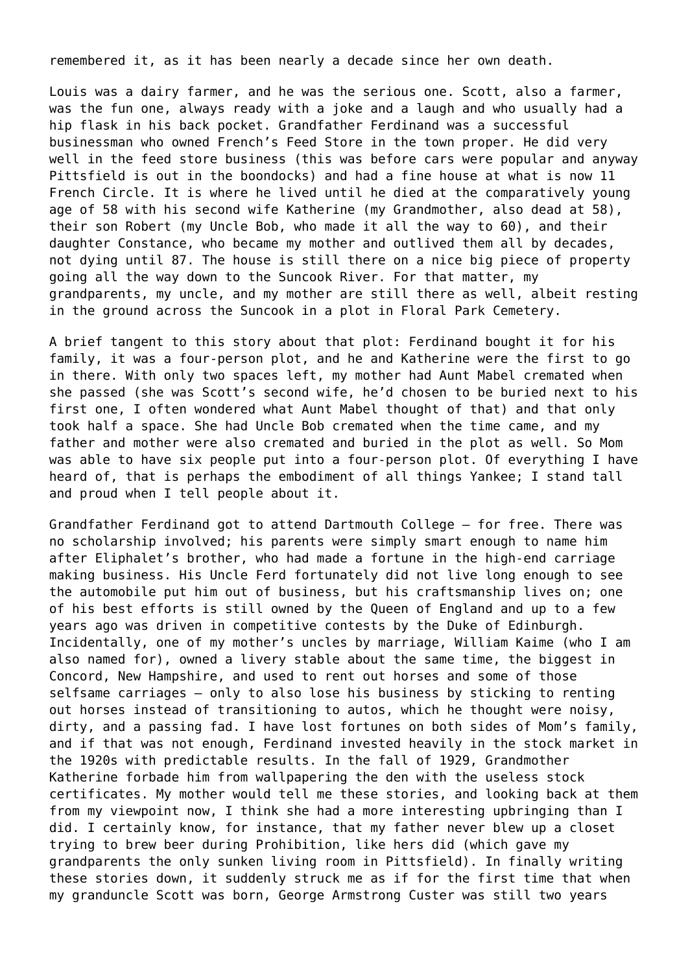remembered it, as it has been nearly a decade since her own death.

Louis was a dairy farmer, and he was the serious one. Scott, also a farmer, was the fun one, always ready with a joke and a laugh and who usually had a hip flask in his back pocket. Grandfather Ferdinand was a successful businessman who owned French's Feed Store in the town proper. He did very well in the feed store business (this was before cars were popular and anyway Pittsfield is out in the boondocks) and had a fine house at what is now 11 French Circle. It is where he lived until he died at the comparatively young age of 58 with his second wife Katherine (my Grandmother, also dead at 58), their son Robert (my Uncle Bob, who made it all the way to 60), and their daughter Constance, who became my mother and outlived them all by decades, not dying until 87. The house is still there on a nice big piece of property going all the way down to the Suncook River. For that matter, my grandparents, my uncle, and my mother are still there as well, albeit resting in the ground across the Suncook in a plot in Floral Park Cemetery.

A brief tangent to this story about that plot: Ferdinand bought it for his family, it was a four-person plot, and he and Katherine were the first to go in there. With only two spaces left, my mother had Aunt Mabel cremated when she passed (she was Scott's second wife, he'd chosen to be buried next to his first one, I often wondered what Aunt Mabel thought of that) and that only took half a space. She had Uncle Bob cremated when the time came, and my father and mother were also cremated and buried in the plot as well. So Mom was able to have six people put into a four-person plot. Of everything I have heard of, that is perhaps the embodiment of all things Yankee; I stand tall and proud when I tell people about it.

Grandfather Ferdinand got to attend Dartmouth College – for free. There was no scholarship involved; his parents were simply smart enough to name him after Eliphalet's brother, who had made a fortune in the high-end carriage making business. His Uncle Ferd fortunately did not live long enough to see the automobile put him out of business, but his craftsmanship lives on; one of his best efforts is still owned by the Queen of England and up to a few years ago was driven in competitive contests by the Duke of Edinburgh. Incidentally, one of my mother's uncles by marriage, William Kaime (who I am also named for), owned a livery stable about the same time, the biggest in Concord, New Hampshire, and used to rent out horses and some of those selfsame carriages – only to also lose his business by sticking to renting out horses instead of transitioning to autos, which he thought were noisy, dirty, and a passing fad. I have lost fortunes on both sides of Mom's family, and if that was not enough, Ferdinand invested heavily in the stock market in the 1920s with predictable results. In the fall of 1929, Grandmother Katherine forbade him from wallpapering the den with the useless stock certificates. My mother would tell me these stories, and looking back at them from my viewpoint now, I think she had a more interesting upbringing than I did. I certainly know, for instance, that my father never blew up a closet trying to brew beer during Prohibition, like hers did (which gave my grandparents the only sunken living room in Pittsfield). In finally writing these stories down, it suddenly struck me as if for the first time that when my granduncle Scott was born, George Armstrong Custer was still two years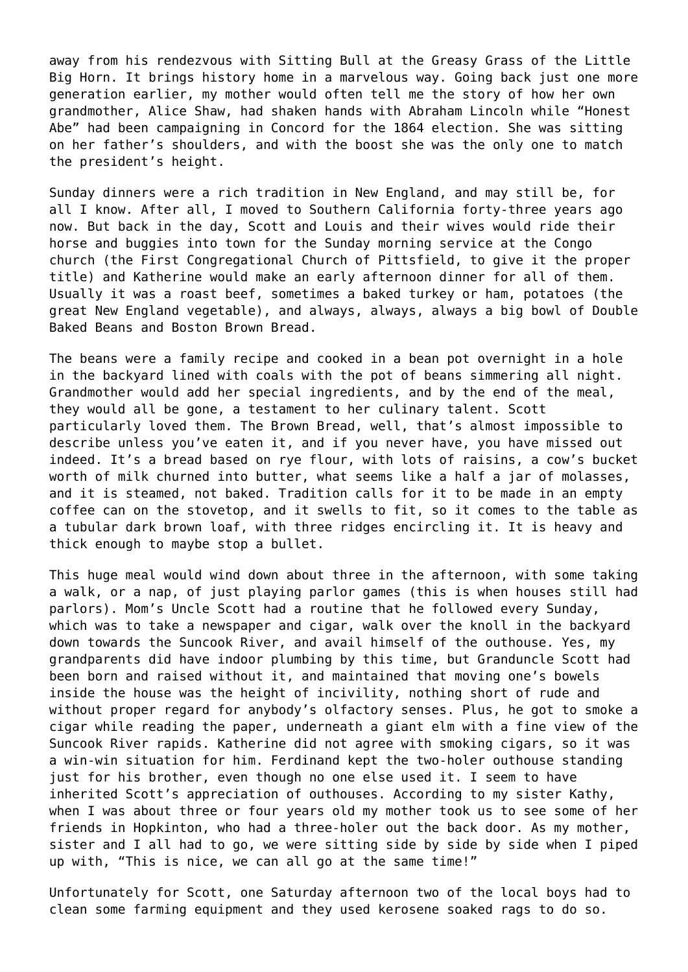away from his rendezvous with Sitting Bull at the Greasy Grass of the Little Big Horn. It brings history home in a marvelous way. Going back just one more generation earlier, my mother would often tell me the story of how her own grandmother, Alice Shaw, had shaken hands with Abraham Lincoln while "Honest Abe" had been campaigning in Concord for the 1864 election. She was sitting on her father's shoulders, and with the boost she was the only one to match the president's height.

Sunday dinners were a rich tradition in New England, and may still be, for all I know. After all, I moved to Southern California forty-three years ago now. But back in the day, Scott and Louis and their wives would ride their horse and buggies into town for the Sunday morning service at the Congo church (the First Congregational Church of Pittsfield, to give it the proper title) and Katherine would make an early afternoon dinner for all of them. Usually it was a roast beef, sometimes a baked turkey or ham, potatoes (the great New England vegetable), and always, always, always a big bowl of Double Baked Beans and Boston Brown Bread.

The beans were a family recipe and cooked in a bean pot overnight in a hole in the backyard lined with coals with the pot of beans simmering all night. Grandmother would add her special ingredients, and by the end of the meal, they would all be gone, a testament to her culinary talent. Scott particularly loved them. The Brown Bread, well, that's almost impossible to describe unless you've eaten it, and if you never have, you have missed out indeed. It's a bread based on rye flour, with lots of raisins, a cow's bucket worth of milk churned into butter, what seems like a half a jar of molasses, and it is steamed, not baked. Tradition calls for it to be made in an empty coffee can on the stovetop, and it swells to fit, so it comes to the table as a tubular dark brown loaf, with three ridges encircling it. It is heavy and thick enough to maybe stop a bullet.

This huge meal would wind down about three in the afternoon, with some taking a walk, or a nap, of just playing parlor games (this is when houses still had parlors). Mom's Uncle Scott had a routine that he followed every Sunday, which was to take a newspaper and cigar, walk over the knoll in the backyard down towards the Suncook River, and avail himself of the outhouse. Yes, my grandparents did have indoor plumbing by this time, but Granduncle Scott had been born and raised without it, and maintained that moving one's bowels inside the house was the height of incivility, nothing short of rude and without proper regard for anybody's olfactory senses. Plus, he got to smoke a cigar while reading the paper, underneath a giant elm with a fine view of the Suncook River rapids. Katherine did not agree with smoking cigars, so it was a win-win situation for him. Ferdinand kept the two-holer outhouse standing just for his brother, even though no one else used it. I seem to have inherited Scott's appreciation of outhouses. According to my sister Kathy, when I was about three or four years old my mother took us to see some of her friends in Hopkinton, who had a three-holer out the back door. As my mother, sister and I all had to go, we were sitting side by side by side when I piped up with, "This is nice, we can all go at the same time!"

Unfortunately for Scott, one Saturday afternoon two of the local boys had to clean some farming equipment and they used kerosene soaked rags to do so.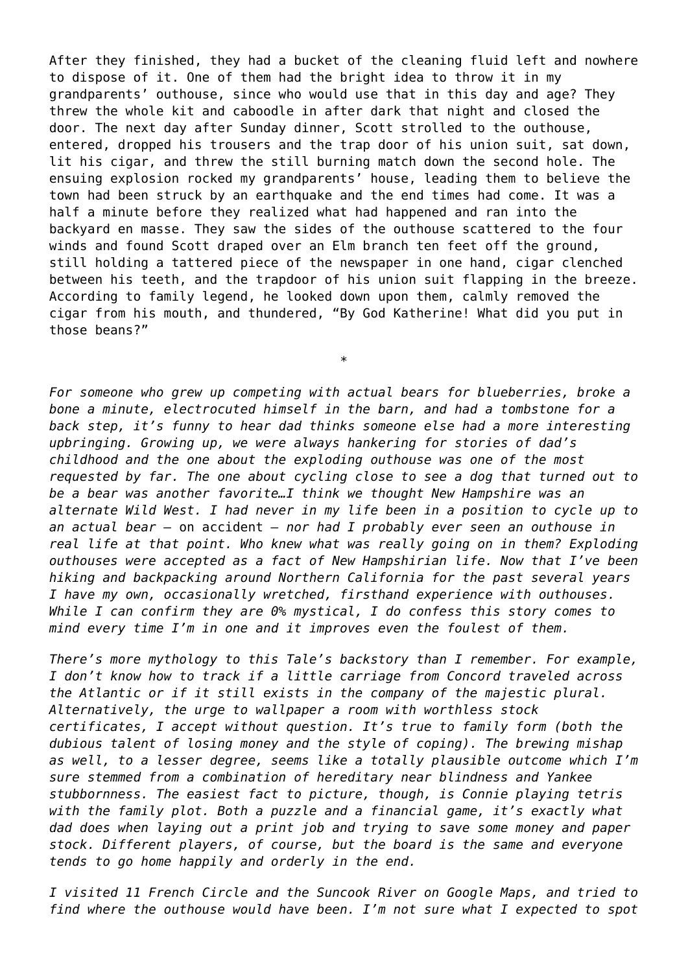After they finished, they had a bucket of the cleaning fluid left and nowhere to dispose of it. One of them had the bright idea to throw it in my grandparents' outhouse, since who would use that in this day and age? They threw the whole kit and caboodle in after dark that night and closed the door. The next day after Sunday dinner, Scott strolled to the outhouse, entered, dropped his trousers and the trap door of his union suit, sat down, lit his cigar, and threw the still burning match down the second hole. The ensuing explosion rocked my grandparents' house, leading them to believe the town had been struck by an earthquake and the end times had come. It was a half a minute before they realized what had happened and ran into the backyard en masse. They saw the sides of the outhouse scattered to the four winds and found Scott draped over an Elm branch ten feet off the ground, still holding a tattered piece of the newspaper in one hand, cigar clenched between his teeth, and the trapdoor of his union suit flapping in the breeze. According to family legend, he looked down upon them, calmly removed the cigar from his mouth, and thundered, "By God Katherine! What did you put in those beans?"

*For someone who grew up competing with actual bears for blueberries, broke a bone a minute, electrocuted himself in the barn, and had a tombstone for a back step, it's funny to hear dad thinks someone else had a more interesting upbringing. Growing up, we were always hankering for stories of dad's childhood and the one about the exploding outhouse was one of the most requested by far. The one about cycling close to see a dog that turned out to be a bear was another favorite…I think we thought New Hampshire was an alternate Wild West. I had never in my life been in a position to cycle up to an actual bear –* on accident *– nor had I probably ever seen an outhouse in real life at that point. Who knew what was really going on in them? Exploding outhouses were accepted as a fact of New Hampshirian life. Now that I've been hiking and backpacking around Northern California for the past several years I have my own, occasionally wretched, firsthand experience with outhouses. While I can confirm they are 0% mystical, I do confess this story comes to mind every time I'm in one and it improves even the foulest of them.*

\*

*There's more mythology to this Tale's backstory than I remember. For example, I don't know how to track if a little carriage from Concord traveled across the Atlantic or if it still exists in the company of the majestic plural. Alternatively, the urge to wallpaper a room with worthless stock certificates, I accept without question. It's true to family form (both the dubious talent of losing money and the style of coping). The brewing mishap as well, to a lesser degree, seems like a totally plausible outcome which I'm sure stemmed from a combination of hereditary near blindness and Yankee stubbornness. The easiest fact to picture, though, is Connie playing tetris with the family plot. Both a puzzle and a financial game, it's exactly what dad does when laying out a print job and trying to save some money and paper stock. Different players, of course, but the board is the same and everyone tends to go home happily and orderly in the end.*

*I visited 11 French Circle and the Suncook River on Google Maps, and tried to find where the outhouse would have been. I'm not sure what I expected to spot*